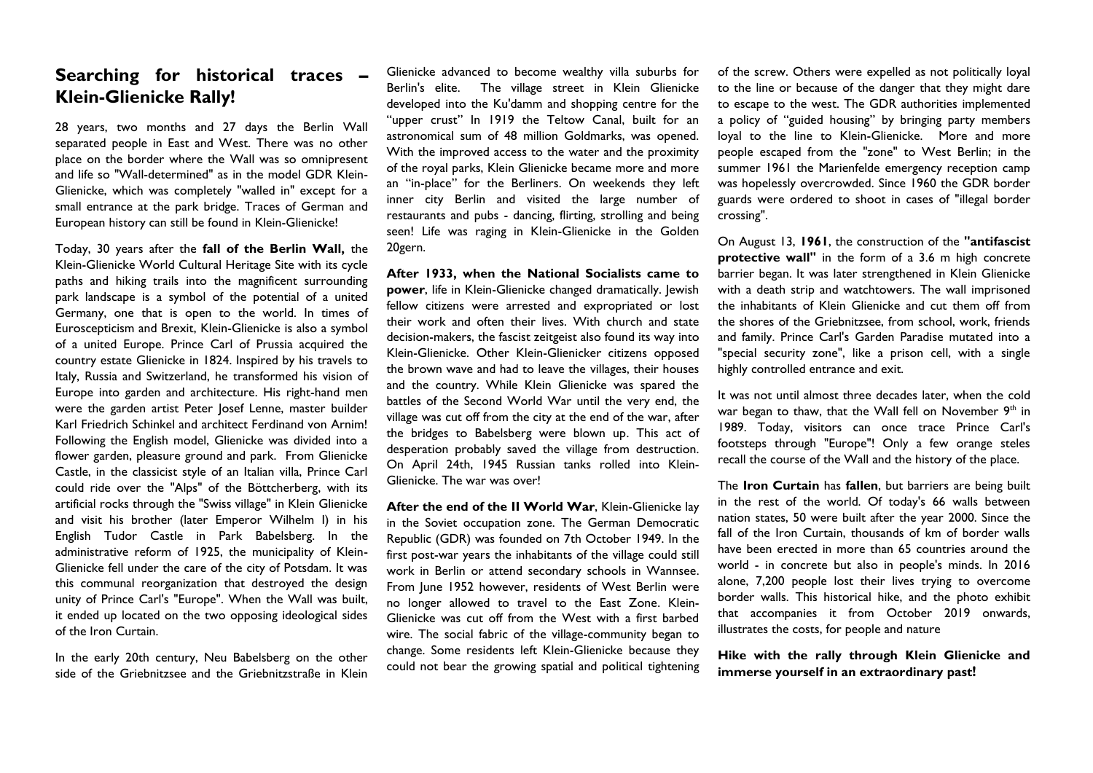## **Searching for historical traces – Klein-Glienicke Rally!**

28 years, two months and 27 days the Berlin Wall separated people in East and West. There was no other place on the border where the Wall was so omnipresent and life so "Wall-determined" as in the model GDR Klein-Glienicke, which was completely "walled in" except for a small entrance at the park bridge. Traces of German and European history can still be found in Klein-Glienicke!

Today, 30 years after the **fall of the Berlin Wall,** the Klein-Glienicke World Cultural Heritage Site with its cycle paths and hiking trails into the magnificent surrounding park landscape is a symbol of the potential of a united Germany, one that is open to the world. In times of Euroscepticism and Brexit, Klein-Glienicke is also a symbol of a united Europe. Prince Carl of Prussia acquired the country estate Glienicke in 1824. Inspired by his travels to Italy, Russia and Switzerland, he transformed his vision of Europe into garden and architecture. His right-hand men were the garden artist Peter Josef Lenne, master builder Karl Friedrich Schinkel and architect Ferdinand von Arnim! Following the English model, Glienicke was divided into a flower garden, pleasure ground and park. From Glienicke Castle, in the classicist style of an Italian villa, Prince Carl could ride over the "Alps" of the Böttcherberg, with its artificial rocks through the "Swiss village" in Klein Glienicke and visit his brother (later Emperor Wilhelm I) in his English Tudor Castle in Park Babelsberg. In the administrative reform of 1925, the municipality of Klein-Glienicke fell under the care of the city of Potsdam. It was this communal reorganization that destroyed the design unity of Prince Carl's "Europe". When the Wall was built, it ended up located on the two opposing ideological sides of the Iron Curtain.

In the early 20th century, Neu Babelsberg on the other side of the Griebnitzsee and the Griebnitzstraße in Klein

Glienicke advanced to become wealthy villa suburbs for Berlin's elite. The village street in Klein Glienicke developed into the Ku'damm and shopping centre for the "upper crust" In 1919 the Teltow Canal, built for an astronomical sum of 48 million Goldmarks, was opened. With the improved access to the water and the proximity of the royal parks, Klein Glienicke became more and more an "in-place" for the Berliners. On weekends they left inner city Berlin and visited the large number of restaurants and pubs - dancing, flirting, strolling and being seen! Life was raging in Klein-Glienicke in the Golden 20gern.

**After 1933, when the National Socialists came to power**, life in Klein-Glienicke changed dramatically. Jewish fellow citizens were arrested and expropriated or lost their work and often their lives. With church and state decision-makers, the fascist zeitgeist also found its way into Klein-Glienicke. Other Klein-Glienicker citizens opposed the brown wave and had to leave the villages, their houses and the country. While Klein Glienicke was spared the battles of the Second World War until the very end, the village was cut off from the city at the end of the war, after the bridges to Babelsberg were blown up. This act of desperation probably saved the village from destruction. On April 24th, 1945 Russian tanks rolled into Klein-Glienicke. The war was over!

**After the end of the II World War**, Klein-Glienicke lay in the Soviet occupation zone. The German Democratic Republic (GDR) was founded on 7th October 1949. In the first post-war years the inhabitants of the village could still work in Berlin or attend secondary schools in Wannsee. From June 1952 however, residents of West Berlin were no longer allowed to travel to the East Zone. Klein-Glienicke was cut off from the West with a first barbed wire. The social fabric of the village-community began to change. Some residents left Klein-Glienicke because they could not bear the growing spatial and political tightening

of the screw. Others were expelled as not politically loyal to the line or because of the danger that they might dare to escape to the west. The GDR authorities implemented a policy of "guided housing" by bringing party members loyal to the line to Klein-Glienicke. More and more people escaped from the "zone" to West Berlin; in the summer 1961 the Marienfelde emergency reception camp was hopelessly overcrowded. Since 1960 the GDR border guards were ordered to shoot in cases of "illegal border crossing".

On August 13, **1961**, the construction of the **"antifascist protective wall"** in the form of a 3.6 m high concrete barrier began. It was later strengthened in Klein Glienicke with a death strip and watchtowers. The wall imprisoned the inhabitants of Klein Glienicke and cut them off from the shores of the Griebnitzsee, from school, work, friends and family. Prince Carl's Garden Paradise mutated into a "special security zone", like a prison cell, with a single highly controlled entrance and exit.

It was not until almost three decades later, when the cold war began to thaw, that the Wall fell on November 9<sup>th</sup> in 1989. Today, visitors can once trace Prince Carl's footsteps through "Europe"! Only a few orange steles recall the course of the Wall and the history of the place.

The **Iron Curtain** has **fallen**, but barriers are being built in the rest of the world. Of today's 66 walls between nation states, 50 were built after the year 2000. Since the fall of the Iron Curtain, thousands of km of border walls have been erected in more than 65 countries around the world - in concrete but also in people's minds. In 2016 alone, 7,200 people lost their lives trying to overcome border walls. This historical hike, and the photo exhibit that accompanies it from October 2019 onwards, illustrates the costs, for people and nature

**Hike with the rally through Klein Glienicke and immerse yourself in an extraordinary past!**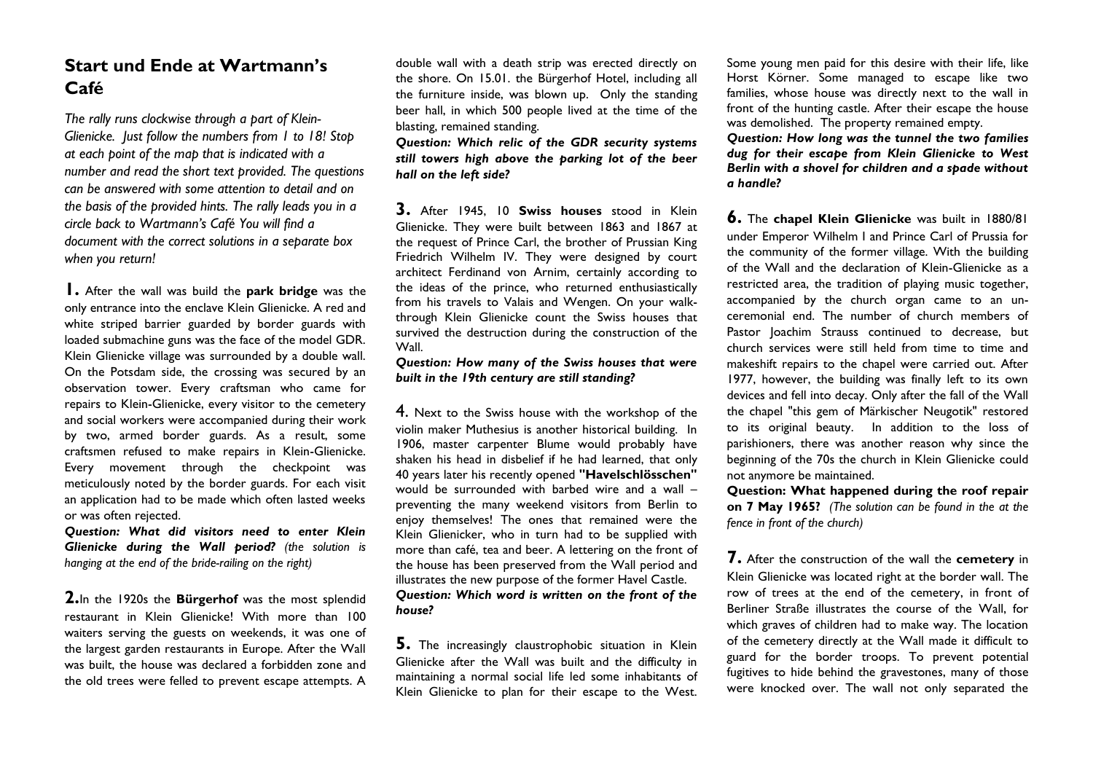# **Start und Ende at Wartmann's Café**

*The rally runs clockwise through a part of Klein-Glienicke. Just follow the numbers from 1 to 18! Stop at each point of the map that is indicated with a number and read the short text provided. The questions can be answered with some attention to detail and on the basis of the provided hints. The rally leads you in a circle back to Wartmann's Café You will find a document with the correct solutions in a separate box when you return!* 

**1.** After the wall was build the **park bridge** was the only entrance into the enclave Klein Glienicke. A red and white striped barrier guarded by border guards with loaded submachine guns was the face of the model GDR. Klein Glienicke village was surrounded by a double wall. On the Potsdam side, the crossing was secured by an observation tower. Every craftsman who came for repairs to Klein-Glienicke, every visitor to the cemetery and social workers were accompanied during their work by two, armed border guards. As a result, some craftsmen refused to make repairs in Klein-Glienicke. Every movement through the checkpoint was meticulously noted by the border guards. For each visit an application had to be made which often lasted weeks or was often rejected.

*Question: What did visitors need to enter Klein Glienicke during the Wall period? (the solution is hanging at the end of the bride-railing on the right)*

**2.**In the 1920s the **Bürgerhof** was the most splendid restaurant in Klein Glienicke! With more than 100 waiters serving the guests on weekends, it was one of the largest garden restaurants in Europe. After the Wall was built, the house was declared a forbidden zone and the old trees were felled to prevent escape attempts. A

double wall with a death strip was erected directly on the shore. On 15.01. the Bürgerhof Hotel, including all the furniture inside, was blown up. Only the standing beer hall, in which 500 people lived at the time of the blasting, remained standing.

*Question: Which relic of the GDR security systems still towers high above the parking lot of the beer hall on the left side?*

**3.** After 1945, 10 **Swiss houses** stood in Klein Glienicke. They were built between 1863 and 1867 at the request of Prince Carl, the brother of Prussian King Friedrich Wilhelm IV. They were designed by court architect Ferdinand von Arnim, certainly according to the ideas of the prince, who returned enthusiastically from his travels to Valais and Wengen. On your walkthrough Klein Glienicke count the Swiss houses that survived the destruction during the construction of the Wall.

#### *Question: How many of the Swiss houses that were built in the 19th century are still standing?*

4. Next to the Swiss house with the workshop of the violin maker Muthesius is another historical building. In 1906, master carpenter Blume would probably have shaken his head in disbelief if he had learned, that only 40 years later his recently opened **"Havelschlösschen"** would be surrounded with barbed wire and a wall – preventing the many weekend visitors from Berlin to enjoy themselves! The ones that remained were the Klein Glienicker, who in turn had to be supplied with more than café, tea and beer. A lettering on the front of the house has been preserved from the Wall period and illustrates the new purpose of the former Havel Castle. *Question: Which word is written on the front of the house?*

**5.** The increasingly claustrophobic situation in Klein Glienicke after the Wall was built and the difficulty in maintaining a normal social life led some inhabitants of Klein Glienicke to plan for their escape to the West. Some young men paid for this desire with their life, like Horst Körner. Some managed to escape like two families, whose house was directly next to the wall in front of the hunting castle. After their escape the house was demolished. The property remained empty.

*Question: How long was the tunnel the two families dug for their escape from Klein Glienicke to West Berlin with a shovel for children and a spade without a handle?* 

**6.** The **chapel Klein Glienicke** was built in 1880/81 under Emperor Wilhelm I and Prince Carl of Prussia for the community of the former village. With the building of the Wall and the declaration of Klein-Glienicke as a restricted area, the tradition of playing music together, accompanied by the church organ came to an unceremonial end. The number of church members of Pastor Joachim Strauss continued to decrease, but church services were still held from time to time and makeshift repairs to the chapel were carried out. After 1977, however, the building was finally left to its own devices and fell into decay. Only after the fall of the Wall the chapel "this gem of Märkischer Neugotik" restored to its original beauty. In addition to the loss of parishioners, there was another reason why since the beginning of the 70s the church in Klein Glienicke could not anymore be maintained.

**Question: What happened during the roof repair on 7 May 1965?** *(The solution can be found in the at the fence in front of the church)*

**7.** After the construction of the wall the **cemetery** in Klein Glienicke was located right at the border wall. The row of trees at the end of the cemetery, in front of Berliner Straße illustrates the course of the Wall, for which graves of children had to make way. The location of the cemetery directly at the Wall made it difficult to guard for the border troops. To prevent potential fugitives to hide behind the gravestones, many of those were knocked over. The wall not only separated the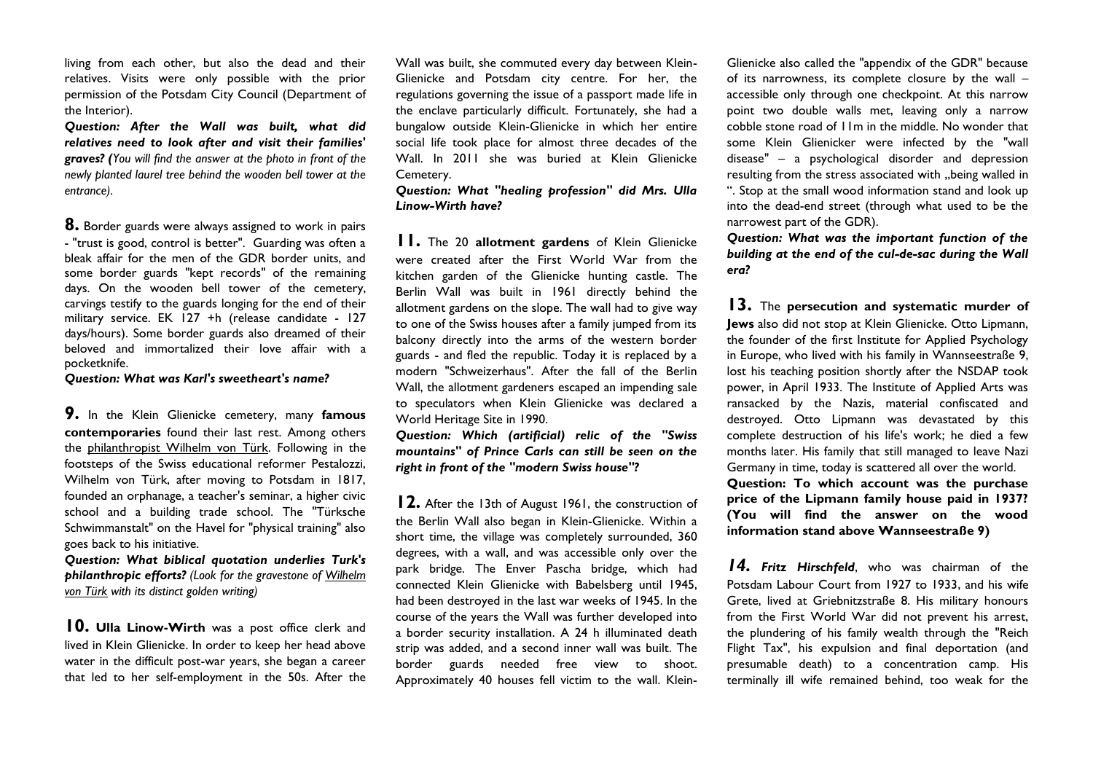living from each other, but also the dead and their relatives. Visits were only possible with the prior permission of the Potsdam City Council (Department of the Interior).

*Question: After the Wall was built, what did relatives need to look after and visit their families' graves? (You will find the answer at the photo in front of the newly planted laurel tree behind the wooden bell tower at the entrance).* 

**8.** Border guards were always assigned to work in pairs - "trust is good, control is better". Guarding was often a bleak affair for the men of the GDR border units, and some border guards "kept records" of the remaining days. On the wooden bell tower of the cemetery, carvings testify to the guards longing for the end of their military service. EK 127 +h (release candidate - 127 days/hours). Some border guards also dreamed of their beloved and immortalized their love affair with a pocketknife.

*Question: What was Karl's sweetheart's name?* 

**9.** In the Klein Glienicke cemetery, many **famous contemporaries** found their last rest. Among others the philanthropist Wilhelm von Türk. Following in the footsteps of the Swiss educational reformer Pestalozzi, Wilhelm von Türk, after moving to Potsdam in 1817, founded an orphanage, a teacher's seminar, a higher civic school and a building trade school. The "Türksche Schwimmanstalt" on the Havel for "physical training" also goes back to his initiative.

*Question: What biblical quotation underlies Turk's philanthropic efforts? (Look for the gravestone of Wilhelm von Türk with its distinct golden writing)*

**10. Ulla Linow-Wirth** was a post office clerk and lived in Klein Glienicke. In order to keep her head above water in the difficult post-war years, she began a career that led to her self-employment in the 50s. After the Wall was built, she commuted every day between Klein-Glienicke and Potsdam city centre. For her, the regulations governing the issue of a passport made life in the enclave particularly difficult. Fortunately, she had a bungalow outside Klein-Glienicke in which her entire social life took place for almost three decades of the Wall. In 2011 she was buried at Klein Glienicke Cemetery.

*Question: What "healing profession" did Mrs. Ulla Linow-Wirth have?*

**11.** The 20 **allotment gardens** of Klein Glienicke were created after the First World War from the kitchen garden of the Glienicke hunting castle. The Berlin Wall was built in 1961 directly behind the allotment gardens on the slope. The wall had to give way to one of the Swiss houses after a family jumped from its balcony directly into the arms of the western border guards - and fled the republic. Today it is replaced by a modern "Schweizerhaus". After the fall of the Berlin Wall, the allotment gardeners escaped an impending sale to speculators when Klein Glienicke was declared a World Heritage Site in 1990.

*Question: Which (artificial) relic of the "Swiss mountains" of Prince Carls can still be seen on the right in front of the "modern Swiss house"?* 

**12.** After the 13th of August 1961, the construction of the Berlin Wall also began in Klein-Glienicke. Within a short time, the village was completely surrounded, 360 degrees, with a wall, and was accessible only over the park bridge. The Enver Pascha bridge, which had connected Klein Glienicke with Babelsberg until 1945, had been destroyed in the last war weeks of 1945. In the course of the years the Wall was further developed into a border security installation. A 24 h illuminated death strip was added, and a second inner wall was built. The border guards needed free view to shoot. Approximately 40 houses fell victim to the wall. KleinGlienicke also called the "appendix of the GDR" because of its narrowness, its complete closure by the wall – accessible only through one checkpoint. At this narrow point two double walls met, leaving only a narrow cobble stone road of 11m in the middle. No wonder that some Klein Glienicker were infected by the "wall disease" – a psychological disorder and depression resulting from the stress associated with "being walled in ". Stop at the small wood information stand and look up into the dead-end street (through what used to be the narrowest part of the GDR).

*Question: What was the important function of the building at the end of the cul-de-sac during the Wall era?* 

**13.** The **persecution and systematic murder of Jews** also did not stop at Klein Glienicke. Otto Lipmann, the founder of the first Institute for Applied Psychology in Europe, who lived with his family in Wannseestraße 9, lost his teaching position shortly after the NSDAP took power, in April 1933. The Institute of Applied Arts was ransacked by the Nazis, material confiscated and destroyed. Otto Lipmann was devastated by this complete destruction of his life's work; he died a few months later. His family that still managed to leave Nazi Germany in time, today is scattered all over the world. **Question: To which account was the purchase** 

**price of the Lipmann family house paid in 1937? (You will find the answer on the wood information stand above Wannseestraße 9)**

*14. Fritz Hirschfeld*, who was chairman of the Potsdam Labour Court from 1927 to 1933, and his wife Grete, lived at Griebnitzstraße 8. His military honours from the First World War did not prevent his arrest, the plundering of his family wealth through the "Reich Flight Tax", his expulsion and final deportation (and presumable death) to a concentration camp. His terminally ill wife remained behind, too weak for the